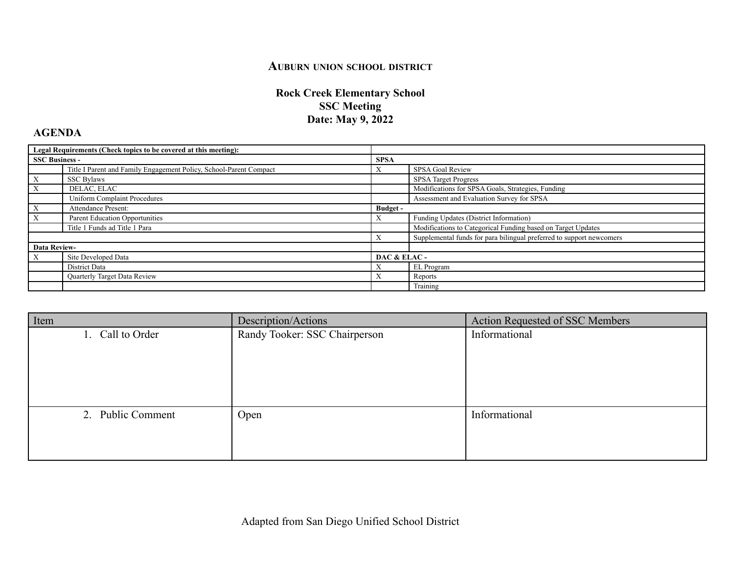## **AUBURN UNION SCHOOL DISTRICT**

## **Rock Creek Elementary School SSC Meeting Date: May 9, 2022**

## **AGENDA**

| Legal Requirements (Check topics to be covered at this meeting): |                                                                    |                 |                                                                      |
|------------------------------------------------------------------|--------------------------------------------------------------------|-----------------|----------------------------------------------------------------------|
| <b>SSC Business -</b>                                            |                                                                    | <b>SPSA</b>     |                                                                      |
|                                                                  | Title I Parent and Family Engagement Policy, School-Parent Compact |                 | SPSA Goal Review                                                     |
|                                                                  | <b>SSC Bylaws</b>                                                  |                 | <b>SPSA</b> Target Progress                                          |
|                                                                  | DELAC, ELAC                                                        |                 | Modifications for SPSA Goals, Strategies, Funding                    |
|                                                                  | <b>Uniform Complaint Procedures</b>                                |                 | Assessment and Evaluation Survey for SPSA                            |
| X                                                                | Attendance Present:                                                | <b>Budget</b> - |                                                                      |
|                                                                  | Parent Education Opportunities                                     | $\Lambda$       | Funding Updates (District Information)                               |
|                                                                  | Title 1 Funds ad Title 1 Para                                      |                 | Modifications to Categorical Funding based on Target Updates         |
|                                                                  |                                                                    |                 | Supplemental funds for para bilingual preferred to support newcomers |
| <b>Data Review-</b>                                              |                                                                    |                 |                                                                      |
| X                                                                | Site Developed Data                                                | DAC & ELAC-     |                                                                      |
|                                                                  | District Data                                                      |                 | EL Program                                                           |
|                                                                  | Quarterly Target Data Review                                       |                 | Reports                                                              |
|                                                                  |                                                                    |                 | Training                                                             |

| Item              | Description/Actions           | Action Requested of SSC Members |
|-------------------|-------------------------------|---------------------------------|
| 1. Call to Order  | Randy Tooker: SSC Chairperson | Informational                   |
|                   |                               |                                 |
|                   |                               |                                 |
|                   |                               |                                 |
|                   |                               |                                 |
| 2. Public Comment | Open                          | Informational                   |
|                   |                               |                                 |
|                   |                               |                                 |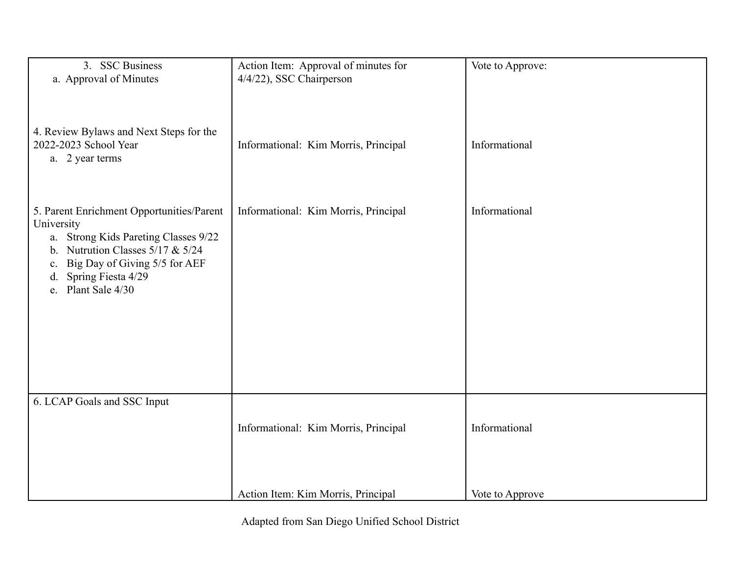| 3. SSC Business<br>a. Approval of Minutes                                                                                                                                                                                                      | Action Item: Approval of minutes for<br>4/4/22), SSC Chairperson | Vote to Approve: |
|------------------------------------------------------------------------------------------------------------------------------------------------------------------------------------------------------------------------------------------------|------------------------------------------------------------------|------------------|
| 4. Review Bylaws and Next Steps for the<br>2022-2023 School Year<br>a. 2 year terms                                                                                                                                                            | Informational: Kim Morris, Principal                             | Informational    |
| 5. Parent Enrichment Opportunities/Parent<br>University<br>a. Strong Kids Pareting Classes 9/22<br>Nutrution Classes 5/17 & 5/24<br>$\mathbf{b}$ .<br>Big Day of Giving 5/5 for AEF<br>C.<br>Spring Fiesta 4/29<br>d.<br>Plant Sale 4/30<br>e. | Informational: Kim Morris, Principal                             | Informational    |
| 6. LCAP Goals and SSC Input                                                                                                                                                                                                                    | Informational: Kim Morris, Principal                             | Informational    |
|                                                                                                                                                                                                                                                | Action Item: Kim Morris, Principal                               | Vote to Approve  |

Adapted from San Diego Unified School District